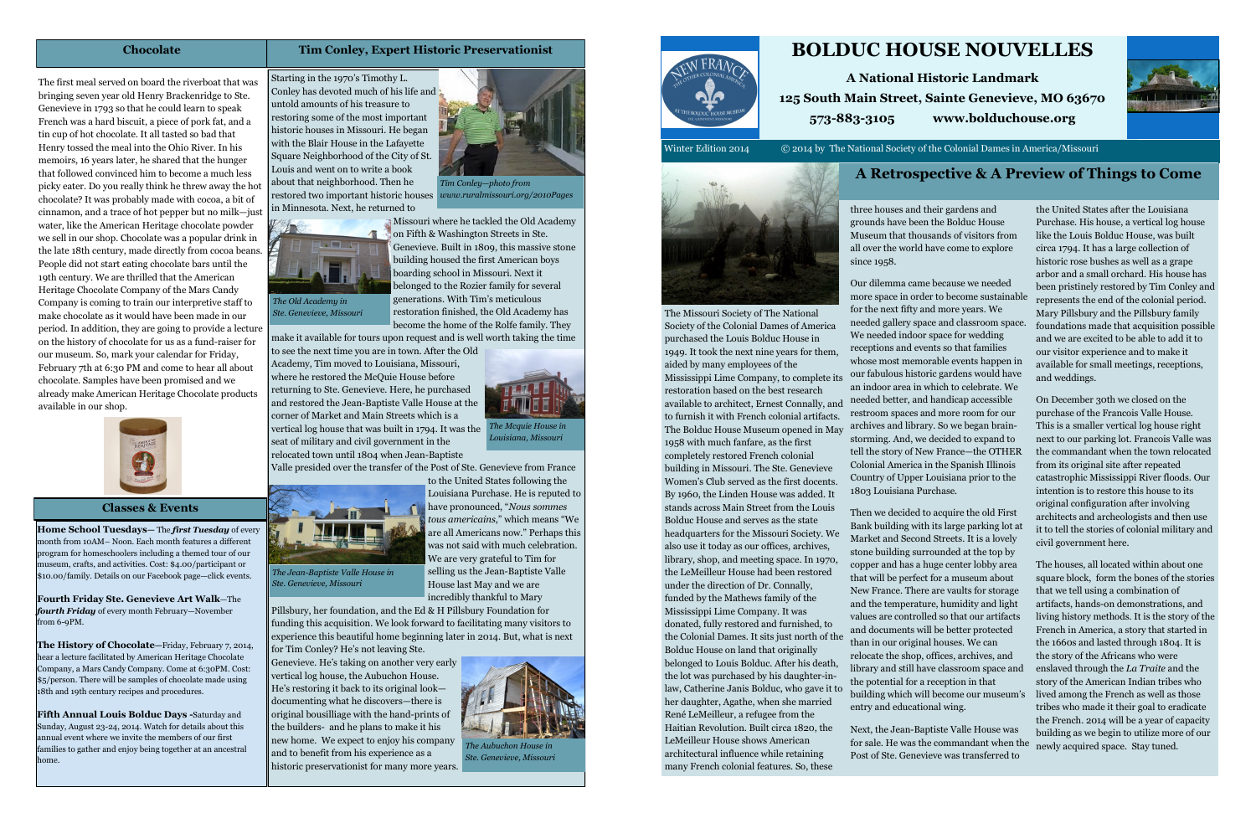# **BOLDUC HOUSE NOUVELLES**

**A National Historic Landmark 125 South Main Street, Sainte Genevieve, MO 63670 573-883-3105 www.bolduchouse.org**

Winter Edition 2014 © 2014 by The National Society of the Colonial Dames in America/Missouri



three houses and their gardens and grounds have been the Bolduc House Museum that thousands of visitors from all over the world have come to explore since 1958.

The Missouri Society of The National Society of the Colonial Dames of America purchased the Louis Bolduc House in 1949. It took the next nine years for them, aided by many employees of the Mississippi Lime Company, to complete its restoration based on the best research available to architect, Ernest Connally, and to furnish it with French colonial artifacts. The Bolduc House Museum opened in May 1958 with much fanfare, as the first completely restored French colonial building in Missouri. The Ste. Genevieve Women's Club served as the first docents. By 1960, the Linden House was added. It stands across Main Street from the Louis Bolduc House and serves as the state headquarters for the Missouri Society. We also use it today as our offices, archives, library, shop, and meeting space. In 1970, the LeMeilleur House had been restored under the direction of Dr. Connally, funded by the Mathews family of the Mississippi Lime Company. It was 1803 Louisiana Purchase.

donated, fully restored and furnished, to the Colonial Dames. It sits just north of the Bolduc House on land that originally belonged to Louis Bolduc. After his death, the lot was purchased by his daughter-inlaw, Catherine Janis Bolduc, who gave it to her daughter, Agathe, when she married René LeMeilleur, a refugee from the Haitian Revolution. Built circa 1820, the LeMeilleur House shows American architectural influence while retaining many French colonial features. So, these

Our dilemma came because we needed more space in order to become sustainable for the next fifty and more years. We needed gallery space and classroom space. We needed indoor space for wedding receptions and events so that families whose most memorable events happen in our fabulous historic gardens would have an indoor area in which to celebrate. We needed better, and handicap accessible restroom spaces and more room for our archives and library. So we began brainstorming. And, we decided to expand to tell the story of New France—the OTHER Colonial America in the Spanish Illinois Country of Upper Louisiana prior to the

Then we decided to acquire the old First Bank building with its large parking lot at Market and Second Streets. It is a lovely stone building surrounded at the top by copper and has a huge center lobby area that will be perfect for a museum about New France. There are vaults for storage and the temperature, humidity and light values are controlled so that our artifacts and documents will be better protected than in our original houses. We can relocate the shop, offices, archives, and library and still have classroom space and the potential for a reception in that building which will become our museum's entry and educational wing.

Next, the Jean-Baptiste Valle House was for sale. He was the commandant when the Post of Ste. Genevieve was transferred to



the United States after the Louisiana Purchase. His house, a vertical log house like the Louis Bolduc House, was built circa 1794. It has a large collection of historic rose bushes as well as a grape arbor and a small orchard. His house has been pristinely restored by Tim Conley and represents the end of the colonial period. Mary Pillsbury and the Pillsbury family foundations made that acquisition possible and we are excited to be able to add it to our visitor experience and to make it available for small meetings, receptions, and weddings.

On December 30th we closed on the purchase of the Francois Valle House. This is a smaller vertical log house right next to our parking lot. Francois Valle was the commandant when the town relocated from its original site after repeated catastrophic Mississippi River floods. Our intention is to restore this house to its original configuration after involving architects and archeologists and then use it to tell the stories of colonial military and civil government here.

The houses, all located within about one square block, form the bones of the stories that we tell using a combination of artifacts, hands-on demonstrations, and living history methods. It is the story of the French in America, a story that started in the 1660s and lasted through 1804. It is the story of the Africans who were enslaved through the *La Traite* and the story of the American Indian tribes who lived among the French as well as those tribes who made it their goal to eradicate the French. 2014 will be a year of capacity building as we begin to utilize more of our newly acquired space. Stay tuned.

# **A Retrospective & A Preview of Things to Come**

**Home School Tuesdays—** The *first Tuesday* of every month from 10AM– Noon. Each month features a different program for homeschoolers including a themed tour of our museum, crafts, and activities. Cost: \$4.00/participant or \$10.00/family. Details on our Facebook page—click events.

**Fourth Friday Ste. Genevieve Art Walk**—The *fourth Friday* of every month February—November from 6-9PM.

**The History of Chocolate—**Friday, February 7, 2014, hear a lecture facilitated by American Heritage Chocolate Company, a Mars Candy Company. Come at 6:30PM. Cost: \$5/person. There will be samples of chocolate made using 18th and 19th century recipes and procedures.

**Fifth Annual Louis Bolduc Days -**Saturday and Sunday, August 23-24, 2014. Watch for details about this annual event where we invite the members of our first families to gather and enjoy being together at an ancestral home.

### **Classes & Events**

Starting in the 1970's Timothy L. Conley has devoted much of his life and untold amounts of his treasure to restoring some of the most important historic houses in Missouri. He began with the Blair House in the Lafayette Square Neighborhood of the City of St. Louis and went on to write a book about that neighborhood. Then he restored two important historic houses in Minnesota. Next, he returned to

Missouri where he tackled the Old Academy on Fifth & Washington Streets in Ste. Genevieve. Built in 1809, this massive stone building housed the first American boys boarding school in Missouri. Next it belonged to the Rozier family for several generations. With Tim's meticulous restoration finished, the Old Academy has become the home of the Rolfe family. They

make it available for tours upon request and is well worth taking the time

to see the next time you are in town. After the Old Academy, Tim moved to Louisiana, Missouri, where he restored the McQuie House before returning to Ste. Genevieve. Here, he purchased and restored the Jean-Baptiste Valle House at the corner of Market and Main Streets which is a vertical log house that was built in 1794. It was the *The Mcquie House in*  seat of military and civil government in the relocated town until 1804 when Jean-Baptiste



Valle presided over the transfer of the Post of Ste. Genevieve from France



to the United States following the Louisiana Purchase. He is reputed to have pronounced, "*Nous sommes tous americains*," which means "We are all Americans now." Perhaps this was not said with much celebration. We are very grateful to Tim for selling us the Jean-Baptiste Valle House last May and we are incredibly thankful to Mary

Pillsbury, her foundation, and the Ed & H Pillsbury Foundation for funding this acquisition. We look forward to facilitating many visitors to experience this beautiful home beginning later in 2014. But, what is next

for Tim Conley? He's not leaving Ste. Genevieve. He's taking on another very early vertical log house, the Aubuchon House. He's restoring it back to its original look documenting what he discovers—there is original bousilliage with the hand-prints of the builders- and he plans to make it his new home. We expect to enjoy his company and to benefit from his experience as a historic preservationist for many more years.



### **Tim Conley, Expert Historic Preservationist**



*Ste. Genevieve, Missouri*

*The Jean-Baptiste Valle House in Ste. Genevieve, Missouri*



*The Aubuchon House in Ste. Genevieve, Missouri*



*Louisiana, Missouri*

*Tim Conley—photo from* 

*www.ruralmissouri.org/2010Pages*

The first meal served on board the riverboat that was bringing seven year old Henry Brackenridge to Ste. Genevieve in 1793 so that he could learn to speak French was a hard biscuit, a piece of pork fat, and a tin cup of hot chocolate. It all tasted so bad that Henry tossed the meal into the Ohio River. In his memoirs, 16 years later, he shared that the hunger that followed convinced him to become a much less picky eater. Do you really think he threw away the hot chocolate? It was probably made with cocoa, a bit of cinnamon, and a trace of hot pepper but no milk—just water, like the American Heritage chocolate powder we sell in our shop. Chocolate was a popular drink in the late 18th century, made directly from cocoa beans. People did not start eating chocolate bars until the 19th century. We are thrilled that the American Heritage Chocolate Company of the Mars Candy Company is coming to train our interpretive staff to make chocolate as it would have been made in our period. In addition, they are going to provide a lecture on the history of chocolate for us as a fund-raiser for our museum. So, mark your calendar for Friday, February 7th at 6:30 PM and come to hear all about chocolate. Samples have been promised and we already make American Heritage Chocolate products available in our shop.



### **Chocolate**